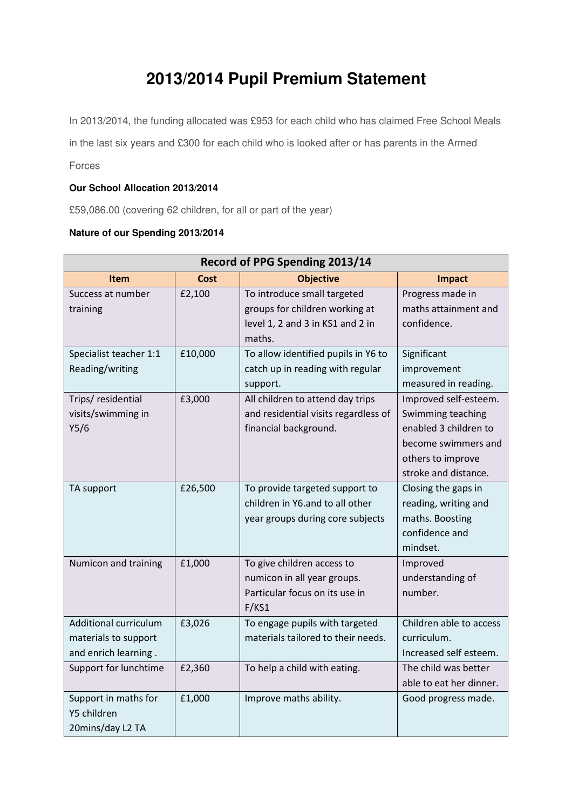## **2013/2014 Pupil Premium Statement**

In 2013/2014, the funding allocated was £953 for each child who has claimed Free School Meals

in the last six years and £300 for each child who is looked after or has parents in the Armed

Forces

## **Our School Allocation 2013/2014**

£59,086.00 (covering 62 children, for all or part of the year)

## **Nature of our Spending 2013/2014**

| Record of PPG Spending 2013/14                                        |         |                                                                                                             |                                                                                                                                         |  |  |
|-----------------------------------------------------------------------|---------|-------------------------------------------------------------------------------------------------------------|-----------------------------------------------------------------------------------------------------------------------------------------|--|--|
| <b>Item</b>                                                           | Cost    | <b>Objective</b>                                                                                            | <b>Impact</b>                                                                                                                           |  |  |
| Success at number<br>training                                         | £2,100  | To introduce small targeted<br>groups for children working at<br>level 1, 2 and 3 in KS1 and 2 in<br>maths. | Progress made in<br>maths attainment and<br>confidence.                                                                                 |  |  |
| Specialist teacher 1:1<br>Reading/writing                             | £10,000 | To allow identified pupils in Y6 to<br>catch up in reading with regular<br>support.                         | Significant<br>improvement<br>measured in reading.                                                                                      |  |  |
| Trips/ residential<br>visits/swimming in<br>Y5/6                      | £3,000  | All children to attend day trips<br>and residential visits regardless of<br>financial background.           | Improved self-esteem.<br>Swimming teaching<br>enabled 3 children to<br>become swimmers and<br>others to improve<br>stroke and distance. |  |  |
| TA support                                                            | £26,500 | To provide targeted support to<br>children in Y6.and to all other<br>year groups during core subjects       | Closing the gaps in<br>reading, writing and<br>maths. Boosting<br>confidence and<br>mindset.                                            |  |  |
| Numicon and training                                                  | £1,000  | To give children access to<br>numicon in all year groups.<br>Particular focus on its use in<br>F/KS1        | Improved<br>understanding of<br>number.                                                                                                 |  |  |
| Additional curriculum<br>materials to support<br>and enrich learning. | £3,026  | To engage pupils with targeted<br>materials tailored to their needs.                                        | Children able to access<br>curriculum.<br>Increased self esteem.                                                                        |  |  |
| Support for lunchtime                                                 | £2,360  | To help a child with eating.                                                                                | The child was better<br>able to eat her dinner.                                                                                         |  |  |
| Support in maths for<br>Y5 children<br>20mins/day L2 TA               | £1,000  | Improve maths ability.                                                                                      | Good progress made.                                                                                                                     |  |  |